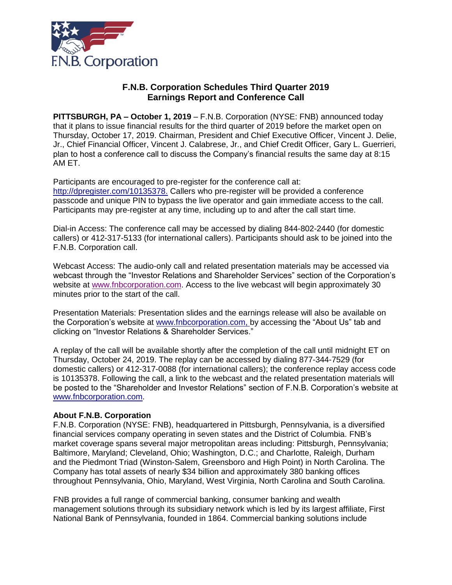

## **F.N.B. Corporation Schedules Third Quarter 2019 Earnings Report and Conference Call**

**PITTSBURGH, PA – October 1, 2019** – F.N.B. Corporation (NYSE: FNB) announced today that it plans to issue financial results for the third quarter of 2019 before the market open on Thursday, October 17, 2019. Chairman, President and Chief Executive Officer, Vincent J. Delie, Jr., Chief Financial Officer, Vincent J. Calabrese, Jr., and Chief Credit Officer, Gary L. Guerrieri, plan to host a conference call to discuss the Company's financial results the same day at 8:15 AM ET.

Participants are encouraged to pre-register for the conference call at: [http://dpregister.com/10135378.](http://dpregister.com/10135378) Callers who pre-register will be provided a conference passcode and unique PIN to bypass the live operator and gain immediate access to the call. Participants may pre-register at any time, including up to and after the call start time.

Dial-in Access: The conference call may be accessed by dialing 844-802-2440 (for domestic callers) or 412-317-5133 (for international callers). Participants should ask to be joined into the F.N.B. Corporation call.

Webcast Access: The audio-only call and related presentation materials may be accessed via webcast through the "Investor Relations and Shareholder Services" section of the Corporation's website at [www.fnbcorporation.com.](http://www.fnbcorporation.com/) Access to the live webcast will begin approximately 30 minutes prior to the start of the call.

Presentation Materials: Presentation slides and the earnings release will also be available on the Corporation's website at [www.fnbcorporation.com,](http://www.fnbcorporation.com/) by accessing the "About Us" tab and clicking on "Investor Relations & Shareholder Services."

A replay of the call will be available shortly after the completion of the call until midnight ET on Thursday, October 24, 2019. The replay can be accessed by dialing 877-344-7529 (for domestic callers) or 412-317-0088 (for international callers); the conference replay access code is 10135378. Following the call, a link to the webcast and the related presentation materials will be posted to the "Shareholder and Investor Relations" section of F.N.B. Corporation's website at [www.fnbcorporation.com.](http://www.fnbcorporation.com/)

## **About F.N.B. Corporation**

F.N.B. Corporation (NYSE: FNB), headquartered in Pittsburgh, Pennsylvania, is a diversified financial services company operating in seven states and the District of Columbia. FNB's market coverage spans several major metropolitan areas including: Pittsburgh, Pennsylvania; Baltimore, Maryland; Cleveland, Ohio; Washington, D.C.; and Charlotte, Raleigh, Durham and the Piedmont Triad (Winston-Salem, Greensboro and High Point) in North Carolina. The Company has total assets of nearly \$34 billion and approximately 380 banking offices throughout Pennsylvania, Ohio, Maryland, West Virginia, North Carolina and South Carolina.

FNB provides a full range of commercial banking, consumer banking and wealth management solutions through its subsidiary network which is led by its largest affiliate, First National Bank of Pennsylvania, founded in 1864. Commercial banking solutions include